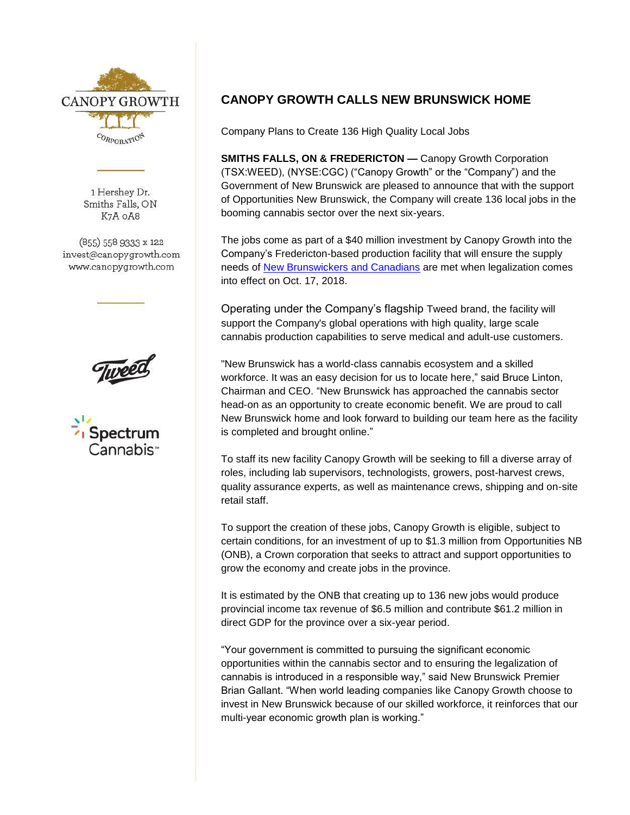

1 Hershey Dr. Smiths Falls, ON K7A OA8

(855) 558 9333 x 122 invest@canopygrowth.com www.canopygrowth.com





## **CANOPY GROWTH CALLS NEW BRUNSWICK HOME**

Company Plans to Create 136 High Quality Local Jobs

**SMITHS FALLS, ON & FREDERICTON —** Canopy Growth Corporation (TSX:WEED), (NYSE:CGC) ("Canopy Growth" or the "Company") and the Government of New Brunswick are pleased to announce that with the support of Opportunities New Brunswick, the Company will create 136 local jobs in the booming cannabis sector over the next six-years.

The jobs come as part of a \$40 million investment by Canopy Growth into the Company's Fredericton-based production facility that will ensure the supply needs of [New Brunswicke](https://www.newswire.ca/news-releases/canopy-growth-and-new-brunswick-sign-historic-supply-mou-644633153.html)rs and Canadians are met when legalization comes into effect on Oct. 17, 2018.

Operating under the Company's flagship Tweed brand, the facility will support the Company's global operations with high quality, large scale cannabis production capabilities to serve medical and adult-use customers.

"New Brunswick has a world-class cannabis ecosystem and a skilled workforce. It was an easy decision for us to locate here," said Bruce Linton, Chairman and CEO. "New Brunswick has approached the cannabis sector head-on as an opportunity to create economic benefit. We are proud to call New Brunswick home and look forward to building our team here as the facility is completed and brought online."

To staff its new facility Canopy Growth will be seeking to fill a diverse array of roles, including lab supervisors, technologists, growers, post-harvest crews, quality assurance experts, as well as maintenance crews, shipping and on-site retail staff.

To support the creation of these jobs, Canopy Growth is eligible, subject to certain conditions, for an investment of up to \$1.3 million from Opportunities NB (ONB), a Crown corporation that seeks to attract and support opportunities to grow the economy and create jobs in the province.

It is estimated by the ONB that creating up to 136 new jobs would produce provincial income tax revenue of \$6.5 million and contribute \$61.2 million in direct GDP for the province over a six-year period.

"Your government is committed to pursuing the significant economic opportunities within the cannabis sector and to ensuring the legalization of cannabis is introduced in a responsible way," said New Brunswick Premier Brian Gallant. "When world leading companies like Canopy Growth choose to invest in New Brunswick because of our skilled workforce, it reinforces that our multi-year economic growth plan is working."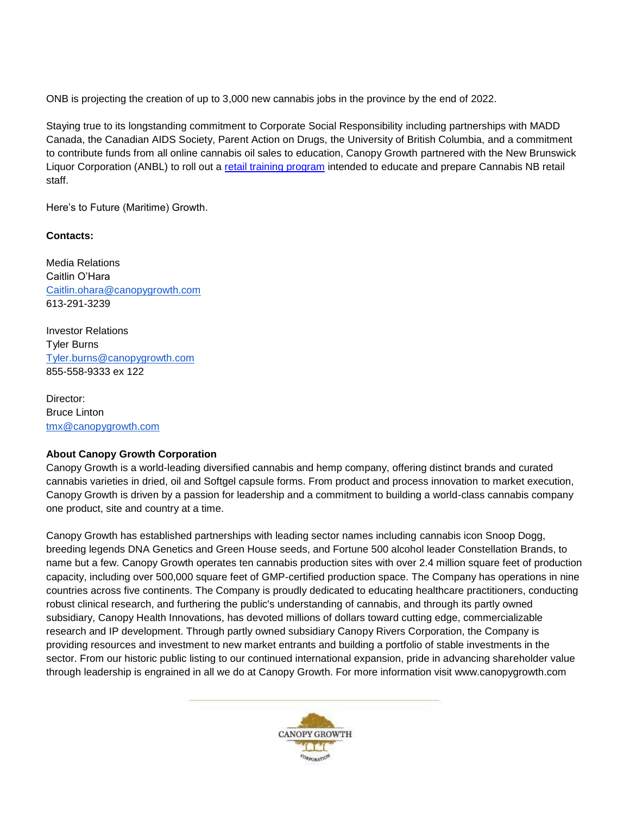ONB is projecting the creation of up to 3,000 new cannabis jobs in the province by the end of 2022.

Staying true to its longstanding commitment to Corporate Social Responsibility including partnerships with MADD Canada, the Canadian AIDS Society, Parent Action on Drugs, the University of British Columbia, and a commitment to contribute funds from all online cannabis oil sales to education, Canopy Growth partnered with the New Brunswick Liquor Corporation (ANBL) to roll out a [retail training program](https://www.newswire.ca/news-releases/canopy-growth--anbl-partner-to-create-comprehensive-cannabis-training-program-670152943.html) intended to educate and prepare Cannabis NB retail staff.

Here's to Future (Maritime) Growth.

## **Contacts:**

Media Relations Caitlin O'Hara [Caitlin.ohara@canopygrowth.com](mailto:Caitlin.ohara@canopygrowth.com) 613-291-3239

Investor Relations Tyler Burns [Tyler.burns@canopygrowth.com](mailto:Tyler.burns@canopygrowth.com) 855-558-9333 ex 122

Director: Bruce Linton [tmx@canopygrowth.com](mailto:tmx@canopygrowth.com)

## **About Canopy Growth Corporation**

Canopy Growth is a world-leading diversified cannabis and hemp company, offering distinct brands and curated cannabis varieties in dried, oil and Softgel capsule forms. From product and process innovation to market execution, Canopy Growth is driven by a passion for leadership and a commitment to building a world-class cannabis company one product, site and country at a time.

Canopy Growth has established partnerships with leading sector names including cannabis icon Snoop Dogg, breeding legends DNA Genetics and Green House seeds, and Fortune 500 alcohol leader Constellation Brands, to name but a few. Canopy Growth operates ten cannabis production sites with over 2.4 million square feet of production capacity, including over 500,000 square feet of GMP-certified production space. The Company has operations in nine countries across five continents. The Company is proudly dedicated to educating healthcare practitioners, conducting robust clinical research, and furthering the public's understanding of cannabis, and through its partly owned subsidiary, Canopy Health Innovations, has devoted millions of dollars toward cutting edge, commercializable research and IP development. Through partly owned subsidiary Canopy Rivers Corporation, the Company is providing resources and investment to new market entrants and building a portfolio of stable investments in the sector. From our historic public listing to our continued international expansion, pride in advancing shareholder value through leadership is engrained in all we do at Canopy Growth. For more information visit www.canopygrowth.com